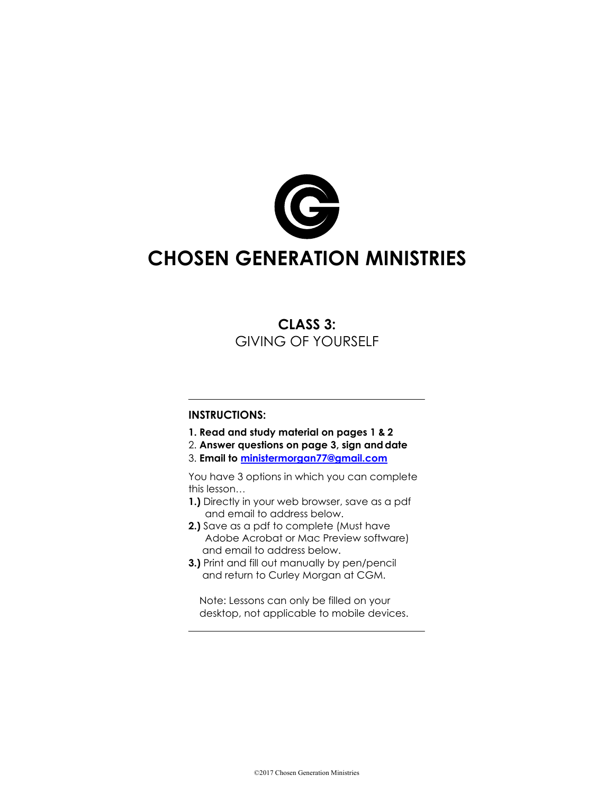

# **CHOSEN GENERATION MINISTRIES**

#### **CLASS 3:** GIVING OF YOURSELF

#### **INSTRUCTIONS:**

- **1. Read and study material on pages 1 & 2**
- 2. **Answer questions on page 3, sign anddate**
- 3. **Email to ministermorgan77@gmail.com**

You have 3 options in which you can complete this lesson…

- **1.)** Directly in your web browser, save as a pdf and email to address below.
- **2.)** Save as a pdf to complete (Must have Adobe Acrobat or Mac Preview software) and email to address below.
- **3.)** Print and fill out manually by pen/pencil and return to Curley Morgan at CGM.

Note: Lessons can only be filled on your desktop, not applicable to mobile devices.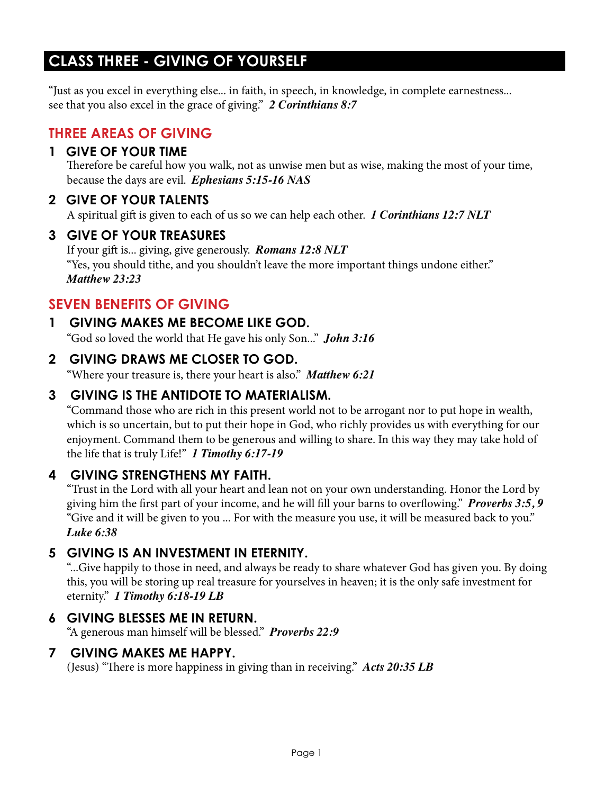## **CLASS THREE - GIVING OF YOURSELF**

"Just as you excel in everything else... in faith, in speech, in knowledge, in complete earnestness... see that you also excel in the grace of giving." *2 Corinthians 8:7*

#### **THREE AREAS OF GIVING**

#### **1 GIVE OF YOUR TIME**

Therefore be careful how you walk, not as unwise men but as wise, making the most of your time, because the days are evil. *Ephesians 5:15-16 NAS*

#### **2 GIVE OF YOUR TALENTS**

A spiritual gift is given to each of us so we can help each other. *1 Corinthians 12:7 NLT*

#### **3 GIVE OF YOUR TREASURES**

If your gift is... giving, give generously. *Romans 12:8 NLT* "Yes, you should tithe, and you shouldn't leave the more important things undone either." *Matthew 23:23*

### **SEVEN BENEFITS OF GIVING**

#### **1 GIVING MAKES ME BECOME LIKE GOD.**

"God so loved the world that He gave his only Son..." *John 3:16*

#### **2 GIVING DRAWS ME CLOSER TO GOD.**

"Where your treasure is, there your heart is also." *Matthew 6:21*

#### **3 GIVING IS THE ANTIDOTE TO MATERIALISM.**

"Command those who are rich in this present world not to be arrogant nor to put hope in wealth, which is so uncertain, but to put their hope in God, who richly provides us with everything for our enjoyment. Command them to be generous and willing to share. In this way they may take hold of the life that is truly Life!" *1 Timothy 6:17-19*

#### **4 GIVING STRENGTHENS MY FAITH.**

"Trust in the Lord with all your heart and lean not on your own understanding. Honor the Lord by giving him the first part of your income, and he will fill your barns to overflowing." *Proverbs 3:5, 9* "Give and it will be given to you ... For with the measure you use, it will be measured back to you." *Luke 6:38*

#### **5 GIVING IS AN INVESTMENT IN ETERNITY.**

"...Give happily to those in need, and always be ready to share whatever God has given you. By doing this, you will be storing up real treasure for yourselves in heaven; it is the only safe investment for eternity." *1 Timothy 6:18-19 LB*

#### **6 GIVING BLESSES ME IN RETURN.**

"A generous man himself will be blessed." *Proverbs 22:9*

#### **7 GIVING MAKES ME HAPPY.**

(Jesus) "There is more happiness in giving than in receiving." *Acts 20:35 LB*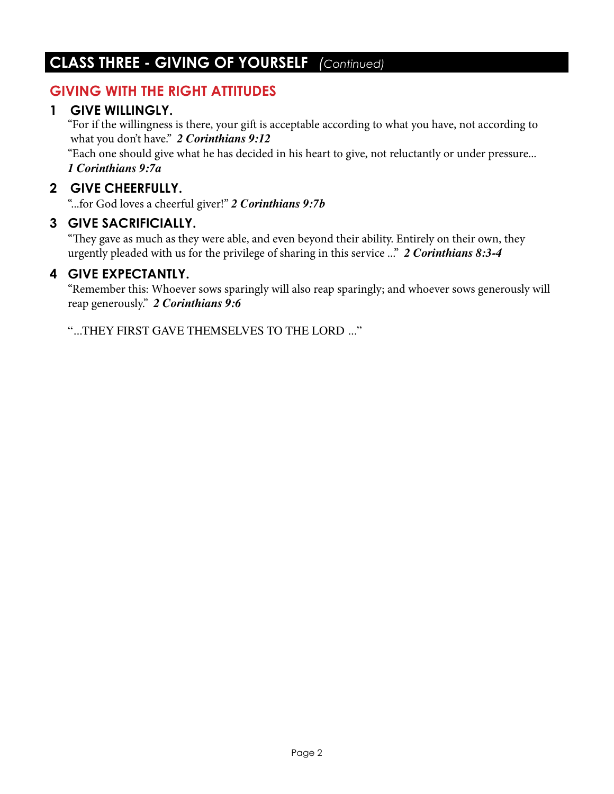### **CLASS THREE - GIVING OF YOURSELF** *(Continued)*

#### **GIVING WITH THE RIGHT ATTITUDES**

#### **1 GIVE WILLINGLY.**

"For if the willingness is there, your gift is acceptable according to what you have, not according to what you don't have." *2 Corinthians 9:12*

"Each one should give what he has decided in his heart to give, not reluctantly or under pressure... *1 Corinthians 9:7a*

#### **2 GIVE CHEERFULLY.**

"...for God loves a cheerful giver!" *2 Corinthians 9:7b*

#### **3 GIVE SACRIFICIALLY.**

"They gave as much as they were able, and even beyond their ability. Entirely on their own, they urgently pleaded with us for the privilege of sharing in this service ..." *2 Corinthians 8:3-4* 

#### **4 GIVE EXPECTANTLY.**

"Remember this: Whoever sows sparingly will also reap sparingly; and whoever sows generously will reap generously." *2 Corinthians 9:6*

"...THEY FIRST GAVE THEMSELVES TO THE LORD ..."